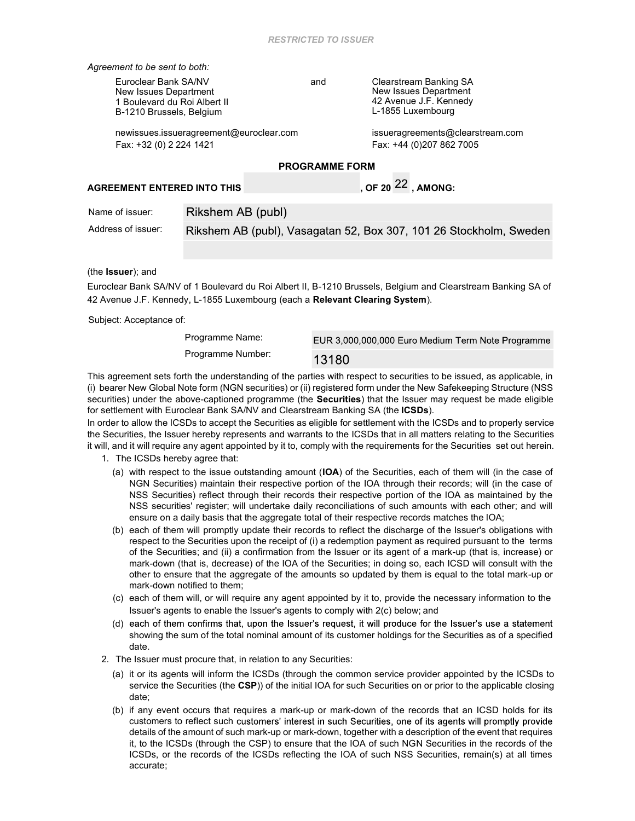Agreement to be sent to both:

Euroclear Bank SA/NV New Issues Department 1 Boulevard du Roi Albert II B-1210 Brussels, Belgium

and Clearstream Banking SA New Issues Department 42 Avenue J.F. Kennedy L-1855 Luxembourg

newissues.issueragreement@euroclear.com issueragreements@clearstream.com Fax: +32 (0) 2 224 1421 Fax: +44 (0)207 862 7005

### PROGRAMME FORM

# AGREEMENT ENTERED INTO THIS  $\sim$  0.0F 20  $^{22}$  , among:

| Name of issuer:    | Rikshem AB (publ)                                                  |
|--------------------|--------------------------------------------------------------------|
| Address of issuer: | Rikshem AB (publ), Vasagatan 52, Box 307, 101 26 Stockholm, Sweden |

#### (the Issuer); and

Euroclear Bank SA/NV of 1 Boulevard du Roi Albert II, B-1210 Brussels, Belgium and Clearstream Banking SA of 42 Avenue J.F. Kennedy, L-1855 Luxembourg (each a Relevant Clearing System).

Subject: Acceptance of:

Programme Name: EUR 3,000,000,000 Euro Medium Term Note Programme Programme Number: 13180

This agreement sets forth the understanding of the parties with respect to securities to be issued, as applicable, in (i) bearer New Global Note form (NGN securities) or (ii) registered form under the New Safekeeping Structure (NSS securities) under the above-captioned programme (the Securities) that the Issuer may request be made eligible for settlement with Euroclear Bank SA/NV and Clearstream Banking SA (the ICSDs).

In order to allow the ICSDs to accept the Securities as eligible for settlement with the ICSDs and to properly service the Securities, the Issuer hereby represents and warrants to the ICSDs that in all matters relating to the Securities it will, and it will require any agent appointed by it to, comply with the requirements for the Securities set out herein.

- 1. The ICSDs hereby agree that:
	- (a) with respect to the issue outstanding amount (IOA) of the Securities, each of them will (in the case of NGN Securities) maintain their respective portion of the IOA through their records; will (in the case of NSS Securities) reflect through their records their respective portion of the IOA as maintained by the NSS securities' register; will undertake daily reconciliations of such amounts with each other; and will ensure on a daily basis that the aggregate total of their respective records matches the IOA;
	- (b) each of them will promptly update their records to reflect the discharge of the Issuer's obligations with respect to the Securities upon the receipt of (i) a redemption payment as required pursuant to the terms of the Securities; and (ii) a confirmation from the Issuer or its agent of a mark-up (that is, increase) or mark-down (that is, decrease) of the IOA of the Securities; in doing so, each ICSD will consult with the other to ensure that the aggregate of the amounts so updated by them is equal to the total mark-up or mark-down notified to them;
	- (c) each of them will, or will require any agent appointed by it to, provide the necessary information to the Issuer's agents to enable the Issuer's agents to comply with 2(c) below; and
	- (d) each of them confirms that, upon the Issuer's request, it will produce for the Issuer's use a statement showing the sum of the total nominal amount of its customer holdings for the Securities as of a specified date.
- 2. The Issuer must procure that, in relation to any Securities:
	- (a) it or its agents will inform the ICSDs (through the common service provider appointed by the ICSDs to service the Securities (the CSP)) of the initial IOA for such Securities on or prior to the applicable closing date;
	- (b) if any event occurs that requires a mark-up or mark-down of the records that an ICSD holds for its customers to reflect such customers' interest in such Securities, one of its agents will promptly provide details of the amount of such mark-up or mark-down, together with a description of the event that requires it, to the ICSDs (through the CSP) to ensure that the IOA of such NGN Securities in the records of the ICSDs, or the records of the ICSDs reflecting the IOA of such NSS Securities, remain(s) at all times accurate;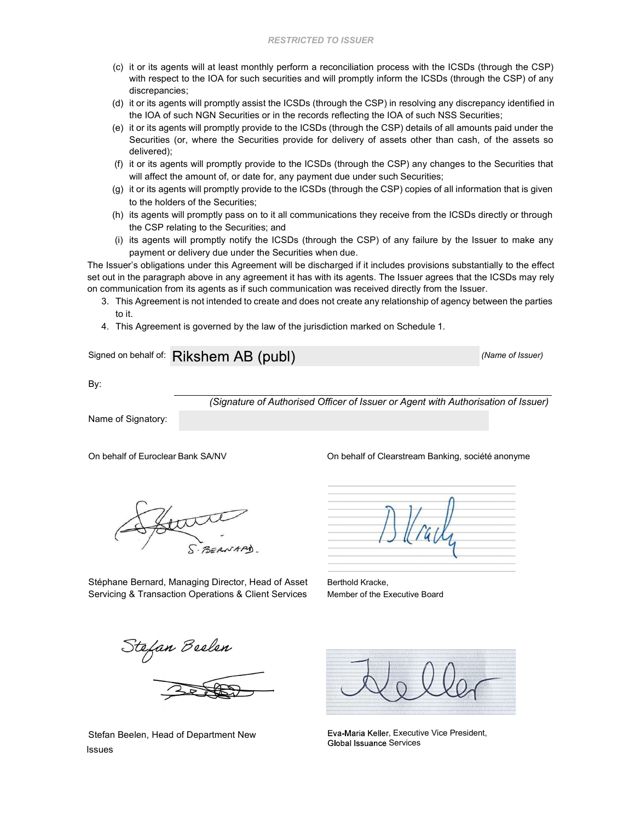- (c) it or its agents will at least monthly perform a reconciliation process with the ICSDs (through the CSP) with respect to the IOA for such securities and will promptly inform the ICSDs (through the CSP) of any discrepancies;
- (d) it or its agents will promptly assist the ICSDs (through the CSP) in resolving any discrepancy identified in the IOA of such NGN Securities or in the records reflecting the IOA of such NSS Securities;
- (e) it or its agents will promptly provide to the ICSDs (through the CSP) details of all amounts paid under the Securities (or, where the Securities provide for delivery of assets other than cash, of the assets so delivered);
- (f) it or its agents will promptly provide to the ICSDs (through the CSP) any changes to the Securities that will affect the amount of, or date for, any payment due under such Securities;
- (g) it or its agents will promptly provide to the ICSDs (through the CSP) copies of all information that is given to the holders of the Securities;
- (h) its agents will promptly pass on to it all communications they receive from the ICSDs directly or through the CSP relating to the Securities; and
- (i) its agents will promptly notify the ICSDs (through the CSP) of any failure by the Issuer to make any payment or delivery due under the Securities when due.

The Issuer's obligations under this Agreement will be discharged if it includes provisions substantially to the effect set out in the paragraph above in any agreement it has with its agents. The Issuer agrees that the ICSDs may rely on communication from its agents as if such communication was received directly from the Issuer.

- 3. This Agreement is not intended to create and does not create any relationship of agency between the parties to it.
- 4. This Agreement is governed by the law of the jurisdiction marked on Schedule 1.

Signed on behalf of: Rikshem AB (publ) (Name of Issuer)

By:

(Signature of Authorised Officer of Issuer or Agent with Authorisation of Issuer)

Name of Signatory:

On behalf of Euroclear Bank SA/NV On behalf of Clearstream Banking, société anonyme

Stéphane Bernard, Managing Director, Head of Asset Servicing & Transaction Operations & Client Services

Berthold Kracke, Member of the Executive Board

Stefan Beelen, Head of Department New Issues

Eva-Maria Keller, Executive Vice President, **Global Issuance Services**